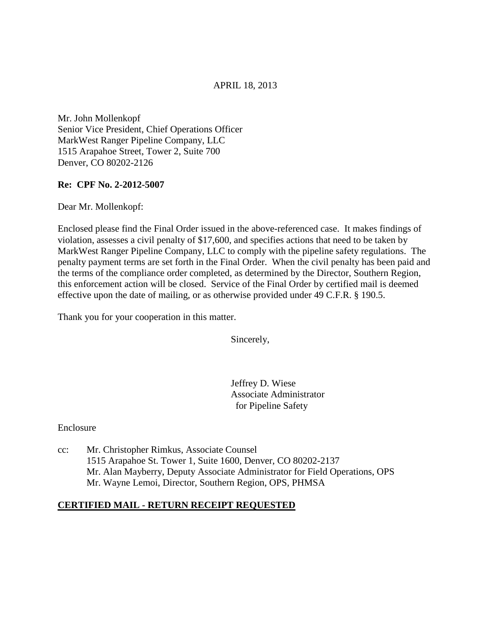### APRIL 18, 2013

Mr. John Mollenkopf Senior Vice President, Chief Operations Officer MarkWest Ranger Pipeline Company, LLC 1515 Arapahoe Street, Tower 2, Suite 700 Denver, CO 80202-2126

#### **Re: CPF No. 2-2012-5007**

Dear Mr. Mollenkopf:

Enclosed please find the Final Order issued in the above-referenced case. It makes findings of violation, assesses a civil penalty of \$17,600, and specifies actions that need to be taken by MarkWest Ranger Pipeline Company, LLC to comply with the pipeline safety regulations. The penalty payment terms are set forth in the Final Order. When the civil penalty has been paid and the terms of the compliance order completed, as determined by the Director, Southern Region, this enforcement action will be closed. Service of the Final Order by certified mail is deemed effective upon the date of mailing, or as otherwise provided under 49 C.F.R. § 190.5.

Thank you for your cooperation in this matter.

Sincerely,

Jeffrey D. Wiese Associate Administrator for Pipeline Safety

Enclosure

cc: Mr. Christopher Rimkus, Associate Counsel 1515 Arapahoe St. Tower 1, Suite 1600, Denver, CO 80202-2137 Mr. Alan Mayberry, Deputy Associate Administrator for Field Operations, OPS Mr. Wayne Lemoi, Director, Southern Region, OPS, PHMSA

### **CERTIFIED MAIL - RETURN RECEIPT REQUESTED**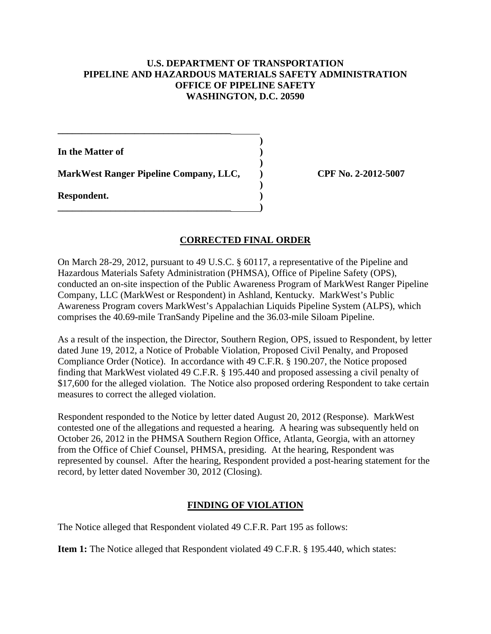### **U.S. DEPARTMENT OF TRANSPORTATION PIPELINE AND HAZARDOUS MATERIALS SAFETY ADMINISTRATION OFFICE OF PIPELINE SAFETY WASHINGTON, D.C. 20590**

**In the Matter of )** 

**MarkWest Ranger Pipeline Company, LLC, ) CPF No. 2-2012-5007**

 **)** 

 **)** 

 **)** 

**\_\_\_\_\_\_\_\_\_\_\_\_\_\_\_\_\_\_\_\_\_\_\_\_\_\_\_\_\_\_\_\_\_\_\_\_ )** 

**\_\_\_\_\_\_\_\_\_\_\_\_\_\_\_\_\_\_\_\_\_\_\_\_\_\_\_\_\_\_\_\_\_\_\_\_**

**Respondent. )** 

# **CORRECTED FINAL ORDER**

On March 28-29, 2012, pursuant to 49 U.S.C. § 60117, a representative of the Pipeline and Hazardous Materials Safety Administration (PHMSA), Office of Pipeline Safety (OPS), conducted an on-site inspection of the Public Awareness Program of MarkWest Ranger Pipeline Company, LLC (MarkWest or Respondent) in Ashland, Kentucky. MarkWest's Public Awareness Program covers MarkWest's Appalachian Liquids Pipeline System (ALPS), which comprises the 40.69-mile TranSandy Pipeline and the 36.03-mile Siloam Pipeline.

As a result of the inspection, the Director, Southern Region, OPS, issued to Respondent, by letter dated June 19, 2012, a Notice of Probable Violation, Proposed Civil Penalty, and Proposed Compliance Order (Notice). In accordance with 49 C.F.R. § 190.207, the Notice proposed finding that MarkWest violated 49 C.F.R. § 195.440 and proposed assessing a civil penalty of \$17,600 for the alleged violation. The Notice also proposed ordering Respondent to take certain measures to correct the alleged violation.

Respondent responded to the Notice by letter dated August 20, 2012 (Response). MarkWest contested one of the allegations and requested a hearing. A hearing was subsequently held on October 26, 2012 in the PHMSA Southern Region Office, Atlanta, Georgia, with an attorney from the Office of Chief Counsel, PHMSA, presiding. At the hearing, Respondent was represented by counsel. After the hearing, Respondent provided a post-hearing statement for the record, by letter dated November 30, 2012 (Closing).

# **FINDING OF VIOLATION**

The Notice alleged that Respondent violated 49 C.F.R. Part 195 as follows:

**Item 1:** The Notice alleged that Respondent violated 49 C.F.R. § 195.440, which states: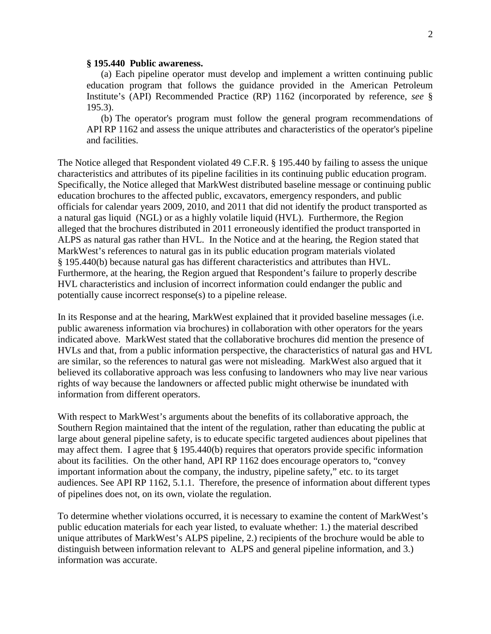#### **§ 195.440 Public awareness.**

(a) Each pipeline operator must develop and implement a written continuing public education program that follows the guidance provided in the American Petroleum Institute's (API) Recommended Practice (RP) 1162 (incorporated by reference, *see* § 195.3).

(b) The operator's program must follow the general program recommendations of API RP 1162 and assess the unique attributes and characteristics of the operator's pipeline and facilities.

The Notice alleged that Respondent violated 49 C.F.R. § 195.440 by failing to assess the unique characteristics and attributes of its pipeline facilities in its continuing public education program. Specifically, the Notice alleged that MarkWest distributed baseline message or continuing public education brochures to the affected public, excavators, emergency responders, and public officials for calendar years 2009, 2010, and 2011 that did not identify the product transported as a natural gas liquid (NGL) or as a highly volatile liquid (HVL). Furthermore, the Region alleged that the brochures distributed in 2011 erroneously identified the product transported in ALPS as natural gas rather than HVL. In the Notice and at the hearing, the Region stated that MarkWest's references to natural gas in its public education program materials violated § 195.440(b) because natural gas has different characteristics and attributes than HVL. Furthermore, at the hearing, the Region argued that Respondent's failure to properly describe HVL characteristics and inclusion of incorrect information could endanger the public and potentially cause incorrect response(s) to a pipeline release.

In its Response and at the hearing, MarkWest explained that it provided baseline messages (i.e. public awareness information via brochures) in collaboration with other operators for the years indicated above. MarkWest stated that the collaborative brochures did mention the presence of HVLs and that, from a public information perspective, the characteristics of natural gas and HVL are similar, so the references to natural gas were not misleading. MarkWest also argued that it believed its collaborative approach was less confusing to landowners who may live near various rights of way because the landowners or affected public might otherwise be inundated with information from different operators.

With respect to MarkWest's arguments about the benefits of its collaborative approach, the Southern Region maintained that the intent of the regulation, rather than educating the public at large about general pipeline safety, is to educate specific targeted audiences about pipelines that may affect them. I agree that § 195.440(b) requires that operators provide specific information about its facilities. On the other hand, API RP 1162 does encourage operators to, "convey important information about the company, the industry, pipeline safety," etc. to its target audiences. See API RP 1162, 5.1.1. Therefore, the presence of information about different types of pipelines does not, on its own, violate the regulation.

To determine whether violations occurred, it is necessary to examine the content of MarkWest's public education materials for each year listed, to evaluate whether: 1.) the material described unique attributes of MarkWest's ALPS pipeline, 2.) recipients of the brochure would be able to distinguish between information relevant to ALPS and general pipeline information, and 3.) information was accurate.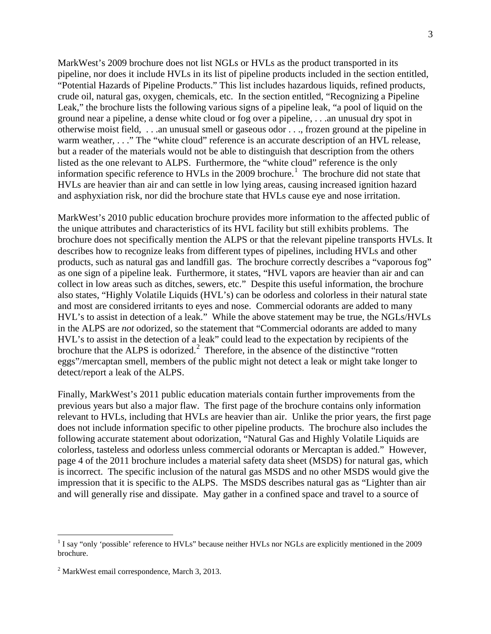MarkWest's 2009 brochure does not list NGLs or HVLs as the product transported in its pipeline, nor does it include HVLs in its list of pipeline products included in the section entitled, "Potential Hazards of Pipeline Products." This list includes hazardous liquids, refined products, crude oil, natural gas, oxygen, chemicals, etc. In the section entitled, "Recognizing a Pipeline Leak," the brochure lists the following various signs of a pipeline leak, "a pool of liquid on the ground near a pipeline, a dense white cloud or fog over a pipeline, . . .an unusual dry spot in otherwise moist field, . . .an unusual smell or gaseous odor . . ., frozen ground at the pipeline in warm weather, . . ." The "white cloud" reference is an accurate description of an HVL release, but a reader of the materials would not be able to distinguish that description from the others listed as the one relevant to ALPS. Furthermore, the "white cloud" reference is the only information specific reference to HVLs in the 2009 brochure.<sup>1</sup> The brochure did not state that HVLs are heavier than air and can settle in low lying areas, causing increased ignition hazard and asphyxiation risk, nor did the brochure state that HVLs cause eye and nose irritation.

MarkWest's 2010 public education brochure provides more information to the affected public of the unique attributes and characteristics of its HVL facility but still exhibits problems. The brochure does not specifically mention the ALPS or that the relevant pipeline transports HVLs. It describes how to recognize leaks from different types of pipelines, including HVLs and other products, such as natural gas and landfill gas. The brochure correctly describes a "vaporous fog" as one sign of a pipeline leak. Furthermore, it states, "HVL vapors are heavier than air and can collect in low areas such as ditches, sewers, etc." Despite this useful information, the brochure also states, "Highly Volatile Liquids (HVL's) can be odorless and colorless in their natural state and most are considered irritants to eyes and nose. Commercial odorants are added to many HVL's to assist in detection of a leak." While the above statement may be true, the NGLs/HVLs in the ALPS are *not* odorized, so the statement that "Commercial odorants are added to many HVL's to assist in the detection of a leak" could lead to the expectation by recipients of the brochure that the ALPS is odorized.<sup>2</sup> Therefore, in the absence of the distinctive "rotten eggs"/mercaptan smell, members of the public might not detect a leak or might take longer to detect/report a leak of the ALPS.

Finally, MarkWest's 2011 public education materials contain further improvements from the previous years but also a major flaw. The first page of the brochure contains only information relevant to HVLs, including that HVLs are heavier than air. Unlike the prior years, the first page does not include information specific to other pipeline products. The brochure also includes the following accurate statement about odorization, "Natural Gas and Highly Volatile Liquids are colorless, tasteless and odorless unless commercial odorants or Mercaptan is added." However, page 4 of the 2011 brochure includes a material safety data sheet (MSDS) for natural gas, which is incorrect. The specific inclusion of the natural gas MSDS and no other MSDS would give the impression that it is specific to the ALPS. The MSDS describes natural gas as "Lighter than air and will generally rise and dissipate. May gather in a confined space and travel to a source of

 $\overline{a}$ 

<sup>&</sup>lt;sup>1</sup> I say "only 'possible' reference to HVLs" because neither HVLs nor NGLs are explicitly mentioned in the 2009 brochure.

<sup>2</sup> MarkWest email correspondence, March 3, 2013.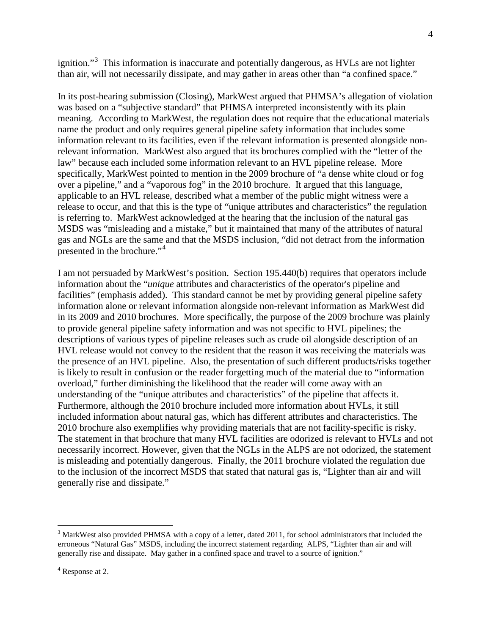ignition."<sup>3</sup> This information is inaccurate and potentially dangerous, as HVLs are not lighter than air, will not necessarily dissipate, and may gather in areas other than "a confined space."

In its post-hearing submission (Closing), MarkWest argued that PHMSA's allegation of violation was based on a "subjective standard" that PHMSA interpreted inconsistently with its plain meaning. According to MarkWest, the regulation does not require that the educational materials name the product and only requires general pipeline safety information that includes some information relevant to its facilities, even if the relevant information is presented alongside nonrelevant information. MarkWest also argued that its brochures complied with the "letter of the law" because each included some information relevant to an HVL pipeline release. More specifically, MarkWest pointed to mention in the 2009 brochure of "a dense white cloud or fog over a pipeline," and a "vaporous fog" in the 2010 brochure. It argued that this language, applicable to an HVL release, described what a member of the public might witness were a release to occur, and that this is the type of "unique attributes and characteristics" the regulation is referring to. MarkWest acknowledged at the hearing that the inclusion of the natural gas MSDS was "misleading and a mistake," but it maintained that many of the attributes of natural gas and NGLs are the same and that the MSDS inclusion, "did not detract from the information presented in the brochure."<sup>4</sup>

I am not persuaded by MarkWest's position. Section 195.440(b) requires that operators include information about the "*unique* attributes and characteristics of the operator's pipeline and facilities" (emphasis added). This standard cannot be met by providing general pipeline safety information alone or relevant information alongside non-relevant information as MarkWest did in its 2009 and 2010 brochures. More specifically, the purpose of the 2009 brochure was plainly to provide general pipeline safety information and was not specific to HVL pipelines; the descriptions of various types of pipeline releases such as crude oil alongside description of an HVL release would not convey to the resident that the reason it was receiving the materials was the presence of an HVL pipeline. Also, the presentation of such different products/risks together is likely to result in confusion or the reader forgetting much of the material due to "information overload," further diminishing the likelihood that the reader will come away with an understanding of the "unique attributes and characteristics" of the pipeline that affects it. Furthermore, although the 2010 brochure included more information about HVLs, it still included information about natural gas, which has different attributes and characteristics. The 2010 brochure also exemplifies why providing materials that are not facility-specific is risky. The statement in that brochure that many HVL facilities are odorized is relevant to HVLs and not necessarily incorrect. However, given that the NGLs in the ALPS are not odorized, the statement is misleading and potentially dangerous. Finally, the 2011 brochure violated the regulation due to the inclusion of the incorrect MSDS that stated that natural gas is, "Lighter than air and will generally rise and dissipate."

4

 $\overline{a}$ 

 $3$  MarkWest also provided PHMSA with a copy of a letter, dated 2011, for school administrators that included the erroneous "Natural Gas" MSDS, including the incorrect statement regarding ALPS, "Lighter than air and will generally rise and dissipate. May gather in a confined space and travel to a source of ignition."

<sup>4</sup> Response at 2.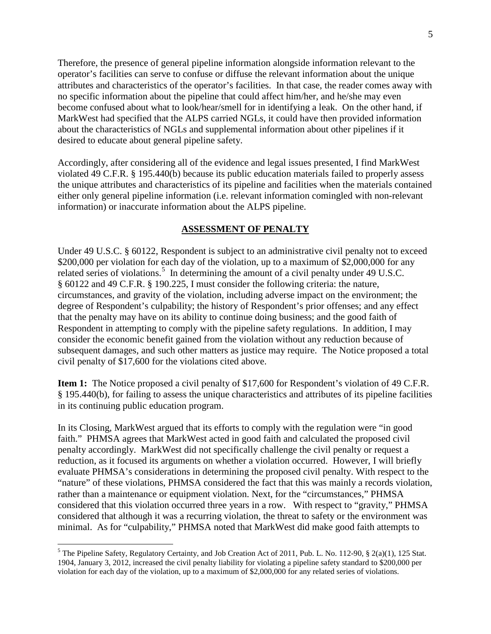Therefore, the presence of general pipeline information alongside information relevant to the operator's facilities can serve to confuse or diffuse the relevant information about the unique attributes and characteristics of the operator's facilities. In that case, the reader comes away with no specific information about the pipeline that could affect him/her, and he/she may even become confused about what to look/hear/smell for in identifying a leak. On the other hand, if MarkWest had specified that the ALPS carried NGLs, it could have then provided information about the characteristics of NGLs and supplemental information about other pipelines if it desired to educate about general pipeline safety.

Accordingly, after considering all of the evidence and legal issues presented, I find MarkWest violated 49 C.F.R. § 195.440(b) because its public education materials failed to properly assess the unique attributes and characteristics of its pipeline and facilities when the materials contained either only general pipeline information (i.e. relevant information comingled with non-relevant information) or inaccurate information about the ALPS pipeline.

### **ASSESSMENT OF PENALTY**

Under 49 U.S.C. § 60122, Respondent is subject to an administrative civil penalty not to exceed \$200,000 per violation for each day of the violation, up to a maximum of \$2,000,000 for any related series of violations.<sup>5</sup> In determining the amount of a civil penalty under 49 U.S.C. § 60122 and 49 C.F.R. § 190.225, I must consider the following criteria: the nature, circumstances, and gravity of the violation, including adverse impact on the environment; the degree of Respondent's culpability; the history of Respondent's prior offenses; and any effect that the penalty may have on its ability to continue doing business; and the good faith of Respondent in attempting to comply with the pipeline safety regulations. In addition, I may consider the economic benefit gained from the violation without any reduction because of subsequent damages, and such other matters as justice may require. The Notice proposed a total civil penalty of \$17,600 for the violations cited above.

**Item 1:** The Notice proposed a civil penalty of \$17,600 for Respondent's violation of 49 C.F.R. § 195.440(b), for failing to assess the unique characteristics and attributes of its pipeline facilities in its continuing public education program.

In its Closing, MarkWest argued that its efforts to comply with the regulation were "in good faith." PHMSA agrees that MarkWest acted in good faith and calculated the proposed civil penalty accordingly. MarkWest did not specifically challenge the civil penalty or request a reduction, as it focused its arguments on whether a violation occurred. However, I will briefly evaluate PHMSA's considerations in determining the proposed civil penalty. With respect to the "nature" of these violations, PHMSA considered the fact that this was mainly a records violation, rather than a maintenance or equipment violation. Next, for the "circumstances," PHMSA considered that this violation occurred three years in a row. With respect to "gravity," PHMSA considered that although it was a recurring violation, the threat to safety or the environment was minimal. As for "culpability," PHMSA noted that MarkWest did make good faith attempts to

 $\overline{a}$ 

<sup>&</sup>lt;sup>5</sup> The Pipeline Safety, Regulatory Certainty, and Job Creation Act of 2011, Pub. L. No. 112-90,  $\S$  2(a)(1), 125 Stat. 1904, January 3, 2012, increased the civil penalty liability for violating a pipeline safety standard to \$200,000 per violation for each day of the violation, up to a maximum of \$2,000,000 for any related series of violations.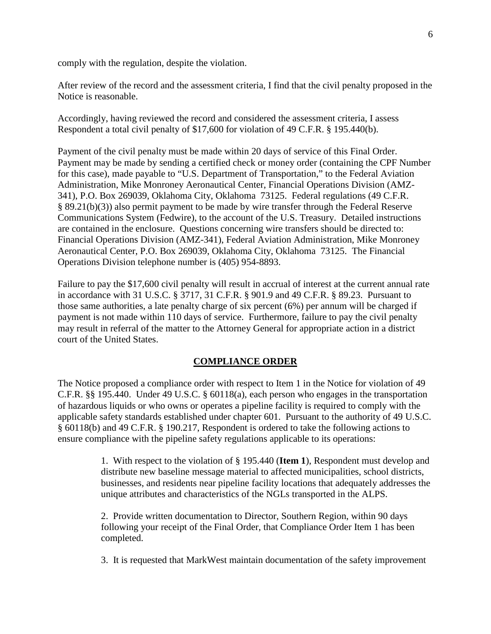comply with the regulation, despite the violation.

After review of the record and the assessment criteria, I find that the civil penalty proposed in the Notice is reasonable.

Accordingly, having reviewed the record and considered the assessment criteria, I assess Respondent a total civil penalty of \$17,600 for violation of 49 C.F.R. § 195.440(b).

Payment of the civil penalty must be made within 20 days of service of this Final Order. Payment may be made by sending a certified check or money order (containing the CPF Number for this case), made payable to "U.S. Department of Transportation," to the Federal Aviation Administration, Mike Monroney Aeronautical Center, Financial Operations Division (AMZ-341), P.O. Box 269039, Oklahoma City, Oklahoma 73125. Federal regulations (49 C.F.R. § 89.21(b)(3)) also permit payment to be made by wire transfer through the Federal Reserve Communications System (Fedwire), to the account of the U.S. Treasury. Detailed instructions are contained in the enclosure. Questions concerning wire transfers should be directed to: Financial Operations Division (AMZ-341), Federal Aviation Administration, Mike Monroney Aeronautical Center, P.O. Box 269039, Oklahoma City, Oklahoma 73125. The Financial Operations Division telephone number is (405) 954-8893.

Failure to pay the \$17,600 civil penalty will result in accrual of interest at the current annual rate in accordance with 31 U.S.C. § 3717, 31 C.F.R. § 901.9 and 49 C.F.R. § 89.23. Pursuant to those same authorities, a late penalty charge of six percent (6%) per annum will be charged if payment is not made within 110 days of service. Furthermore, failure to pay the civil penalty may result in referral of the matter to the Attorney General for appropriate action in a district court of the United States.

#### **COMPLIANCE ORDER**

The Notice proposed a compliance order with respect to Item 1 in the Notice for violation of 49 C.F.R. §§ 195.440. Under 49 U.S.C. § 60118(a), each person who engages in the transportation of hazardous liquids or who owns or operates a pipeline facility is required to comply with the applicable safety standards established under chapter 601. Pursuant to the authority of 49 U.S.C. § 60118(b) and 49 C.F.R. § 190.217, Respondent is ordered to take the following actions to ensure compliance with the pipeline safety regulations applicable to its operations:

> 1. With respect to the violation of § 195.440 (**Item 1**), Respondent must develop and distribute new baseline message material to affected municipalities, school districts, businesses, and residents near pipeline facility locations that adequately addresses the unique attributes and characteristics of the NGLs transported in the ALPS.

2. Provide written documentation to Director, Southern Region, within 90 days following your receipt of the Final Order, that Compliance Order Item 1 has been completed.

3. It is requested that MarkWest maintain documentation of the safety improvement